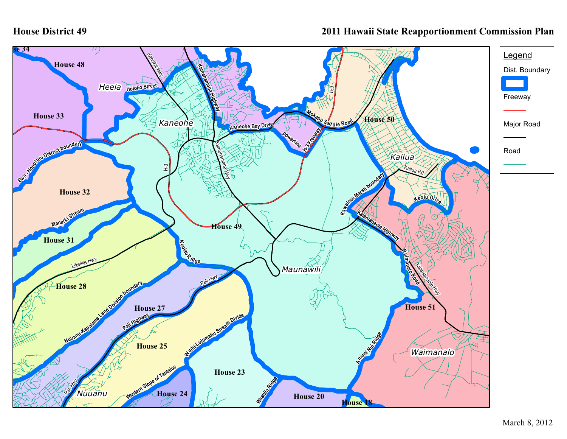## **House District 49**

## **2011 Hawaii State Reapportionment Commission Plan**